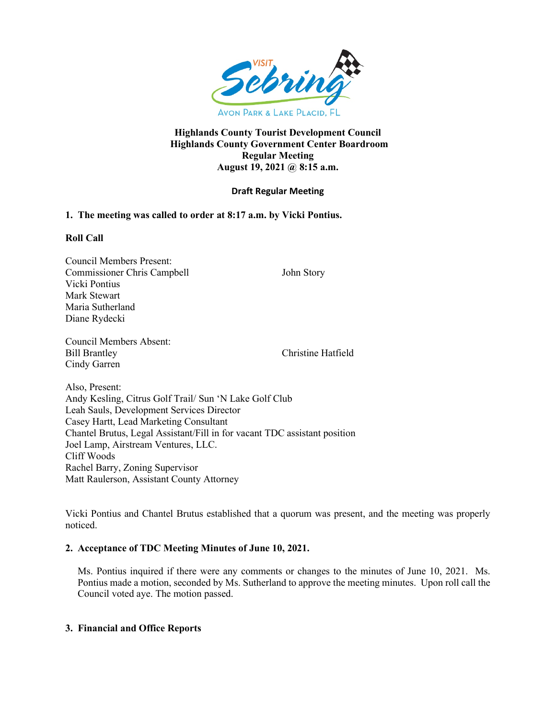

## **Highlands County Tourist Development Council Highlands County Government Center Boardroom Regular Meeting August 19, 2021 @ 8:15 a.m.**

# **Draft Regular Meeting**

## **1. The meeting was called to order at 8:17 a.m. by Vicki Pontius.**

## **Roll Call**

Council Members Present: Commissioner Chris Campbell John Story Vicki Pontius Mark Stewart Maria Sutherland Diane Rydecki

Council Members Absent: Bill Brantley Christine Hatfield Cindy Garren

Also, Present: Andy Kesling, Citrus Golf Trail/ Sun 'N Lake Golf Club Leah Sauls, Development Services Director Casey Hartt, Lead Marketing Consultant Chantel Brutus, Legal Assistant/Fill in for vacant TDC assistant position Joel Lamp, Airstream Ventures, LLC. Cliff Woods Rachel Barry, Zoning Supervisor Matt Raulerson, Assistant County Attorney

Vicki Pontius and Chantel Brutus established that a quorum was present, and the meeting was properly noticed.

## **2. Acceptance of TDC Meeting Minutes of June 10, 2021.**

Ms. Pontius inquired if there were any comments or changes to the minutes of June 10, 2021. Ms. Pontius made a motion, seconded by Ms. Sutherland to approve the meeting minutes. Upon roll call the Council voted aye. The motion passed.

## **3. Financial and Office Reports**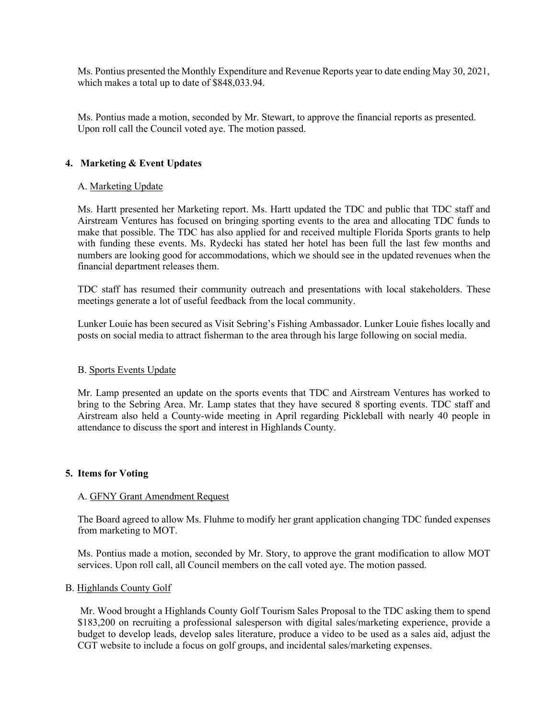Ms. Pontius presented the Monthly Expenditure and Revenue Reports year to date ending May 30, 2021, which makes a total up to date of \$848,033.94.

Ms. Pontius made a motion, seconded by Mr. Stewart, to approve the financial reports as presented. Upon roll call the Council voted aye. The motion passed.

#### **4. Marketing & Event Updates**

#### A. Marketing Update

Ms. Hartt presented her Marketing report. Ms. Hartt updated the TDC and public that TDC staff and Airstream Ventures has focused on bringing sporting events to the area and allocating TDC funds to make that possible. The TDC has also applied for and received multiple Florida Sports grants to help with funding these events. Ms. Rydecki has stated her hotel has been full the last few months and numbers are looking good for accommodations, which we should see in the updated revenues when the financial department releases them.

TDC staff has resumed their community outreach and presentations with local stakeholders. These meetings generate a lot of useful feedback from the local community.

Lunker Louie has been secured as Visit Sebring's Fishing Ambassador. Lunker Louie fishes locally and posts on social media to attract fisherman to the area through his large following on social media.

#### B. Sports Events Update

Mr. Lamp presented an update on the sports events that TDC and Airstream Ventures has worked to bring to the Sebring Area. Mr. Lamp states that they have secured 8 sporting events. TDC staff and Airstream also held a County-wide meeting in April regarding Pickleball with nearly 40 people in attendance to discuss the sport and interest in Highlands County.

#### **5. Items for Voting**

#### A. GFNY Grant Amendment Request

The Board agreed to allow Ms. Fluhme to modify her grant application changing TDC funded expenses from marketing to MOT.

Ms. Pontius made a motion, seconded by Mr. Story, to approve the grant modification to allow MOT services. Upon roll call, all Council members on the call voted aye. The motion passed.

#### B. Highlands County Golf

 Mr. Wood brought a Highlands County Golf Tourism Sales Proposal to the TDC asking them to spend \$183,200 on recruiting a professional salesperson with digital sales/marketing experience, provide a budget to develop leads, develop sales literature, produce a video to be used as a sales aid, adjust the CGT website to include a focus on golf groups, and incidental sales/marketing expenses.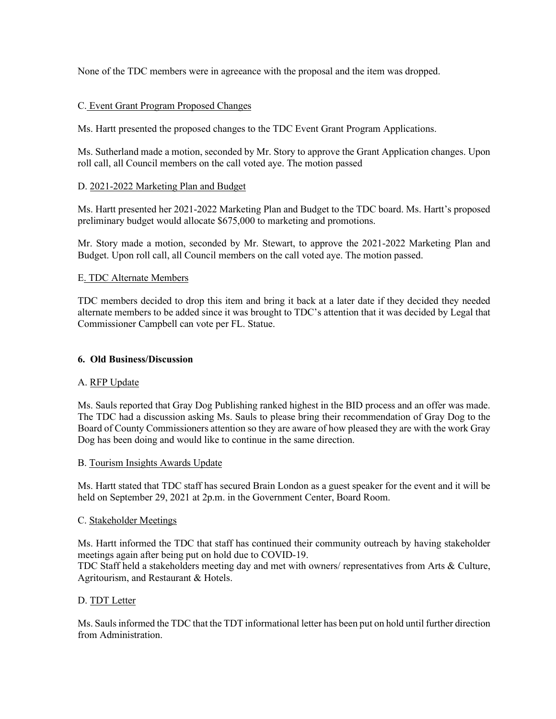None of the TDC members were in agreeance with the proposal and the item was dropped.

# C. Event Grant Program Proposed Changes

Ms. Hartt presented the proposed changes to the TDC Event Grant Program Applications.

Ms. Sutherland made a motion, seconded by Mr. Story to approve the Grant Application changes. Upon roll call, all Council members on the call voted aye. The motion passed

## D. 2021-2022 Marketing Plan and Budget

 Ms. Hartt presented her 2021-2022 Marketing Plan and Budget to the TDC board. Ms. Hartt's proposed preliminary budget would allocate \$675,000 to marketing and promotions.

Mr. Story made a motion, seconded by Mr. Stewart, to approve the 2021-2022 Marketing Plan and Budget. Upon roll call, all Council members on the call voted aye. The motion passed.

# E. TDC Alternate Members

TDC members decided to drop this item and bring it back at a later date if they decided they needed alternate members to be added since it was brought to TDC's attention that it was decided by Legal that Commissioner Campbell can vote per FL. Statue.

## **6. Old Business/Discussion**

## A. RFP Update

Ms. Sauls reported that Gray Dog Publishing ranked highest in the BID process and an offer was made. The TDC had a discussion asking Ms. Sauls to please bring their recommendation of Gray Dog to the Board of County Commissioners attention so they are aware of how pleased they are with the work Gray Dog has been doing and would like to continue in the same direction.

## B. Tourism Insights Awards Update

 Ms. Hartt stated that TDC staff has secured Brain London as a guest speaker for the event and it will be held on September 29, 2021 at 2p.m. in the Government Center, Board Room.

## C. Stakeholder Meetings

Ms. Hartt informed the TDC that staff has continued their community outreach by having stakeholder meetings again after being put on hold due to COVID-19.

TDC Staff held a stakeholders meeting day and met with owners/ representatives from Arts & Culture, Agritourism, and Restaurant & Hotels.

## D. TDT Letter

Ms. Sauls informed the TDC that the TDT informational letter has been put on hold until further direction from Administration.